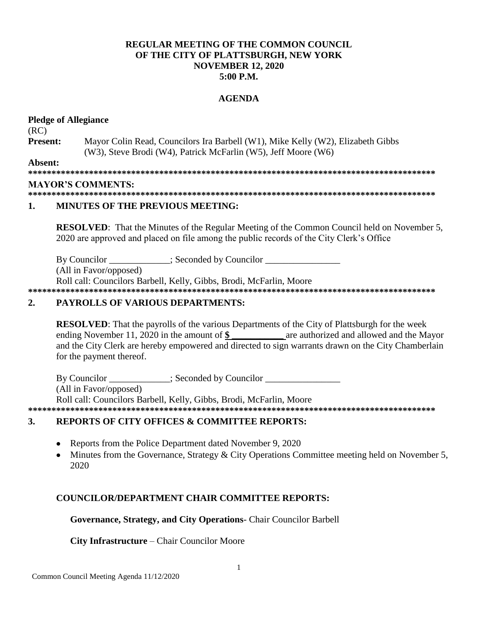## **REGULAR MEETING OF THE COMMON COUNCIL.** OF THE CITY OF PLATTSBURGH, NEW YORK **NOVEMBER 12, 2020**  $5:00$  P.M.

#### **AGENDA**

#### **Pledge of Allegiance**  $(RC)$ **Present:** Mayor Colin Read, Councilors Ira Barbell (W1), Mike Kelly (W2), Elizabeth Gibbs (W3), Steve Brodi (W4), Patrick McFarlin (W5), Jeff Moore (W6) Absent: **MAYOR'S COMMENTS:**

#### 

#### 1. **MINUTES OF THE PREVIOUS MEETING:**

**RESOLVED:** That the Minutes of the Regular Meeting of the Common Council held on November 5, 2020 are approved and placed on file among the public records of the City Clerk's Office

: Seconded by Councilor By Councilor

(All in Favor/opposed)

Roll call: Councilors Barbell, Kelly, Gibbs, Brodi, McFarlin, Moore

#### $2.$ **PAYROLLS OF VARIOUS DEPARTMENTS:**

**RESOLVED:** That the payrolls of the various Departments of the City of Plattsburgh for the week ending November 11, 2020 in the amount of \$ are authorized and allowed and the Mayor and the City Clerk are hereby empowered and directed to sign warrants drawn on the City Chamberlain for the payment thereof.

By Councilor : Seconded by Councilor (All in Favor/opposed) Roll call: Councilors Barbell, Kelly, Gibbs, Brodi, McFarlin, Moore 

#### **REPORTS OF CITY OFFICES & COMMITTEE REPORTS:** 3.

- Reports from the Police Department dated November 9, 2020
- Minutes from the Governance, Strategy & City Operations Committee meeting held on November 5,  $\bullet$ 2020

### **COUNCILOR/DEPARTMENT CHAIR COMMITTEE REPORTS:**

### Governance, Strategy, and City Operations- Chair Councilor Barbell

### **City Infrastructure – Chair Councilor Moore**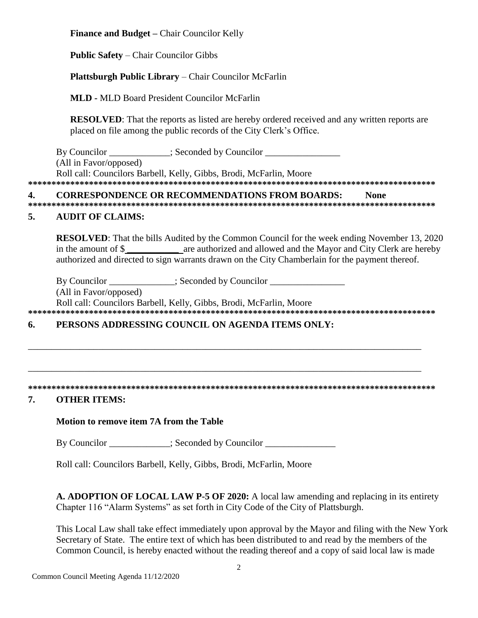**Finance and Budget –** Chair Councilor Kelly

**Public Safety** – Chair Councilor Gibbs

## **Plattsburgh Public Library** – Chair Councilor McFarlin

**MLD -** MLD Board President Councilor McFarlin

**RESOLVED**: That the reports as listed are hereby ordered received and any written reports are placed on file among the public records of the City Clerk's Office.

By Councilor \_\_\_\_\_\_\_\_\_\_\_; Seconded by Councilor \_\_\_\_\_\_\_\_\_\_\_\_\_\_\_\_\_\_\_\_\_\_\_\_\_\_\_\_\_\_\_\_ (All in Favor/opposed) Roll call: Councilors Barbell, Kelly, Gibbs, Brodi, McFarlin, Moore **\*\*\*\*\*\*\*\*\*\*\*\*\*\*\*\*\*\*\*\*\*\*\*\*\*\*\*\*\*\*\*\*\*\*\*\*\*\*\*\*\*\*\*\*\*\*\*\*\*\*\*\*\*\*\*\*\*\*\*\*\*\*\*\*\*\*\*\*\*\*\*\*\*\*\*\*\*\*\*\*\*\*\*\*\*\*\***

### **4. CORRESPONDENCE OR RECOMMENDATIONS FROM BOARDS: None**

**\*\*\*\*\*\*\*\*\*\*\*\*\*\*\*\*\*\*\*\*\*\*\*\*\*\*\*\*\*\*\*\*\*\*\*\*\*\*\*\*\*\*\*\*\*\*\*\*\*\*\*\*\*\*\*\*\*\*\*\*\*\*\*\*\*\*\*\*\*\*\*\*\*\*\*\*\*\*\*\*\*\*\*\*\*\*\***

### **5. AUDIT OF CLAIMS:**

**RESOLVED**: That the bills Audited by the Common Council for the week ending November 13, 2020 in the amount of \$ **\_\_\_\_\_\_\_\_\_\_\_** are authorized and allowed and the Mayor and City Clerk are hereby authorized and directed to sign warrants drawn on the City Chamberlain for the payment thereof.

By Councilor  $\qquad \qquad :$  Seconded by Councilor

(All in Favor/opposed)

Roll call: Councilors Barbell, Kelly, Gibbs, Brodi, McFarlin, Moore

**\*\*\*\*\*\*\*\*\*\*\*\*\*\*\*\*\*\*\*\*\*\*\*\*\*\*\*\*\*\*\*\*\*\*\*\*\*\*\*\*\*\*\*\*\*\*\*\*\*\*\*\*\*\*\*\*\*\*\*\*\*\*\*\*\*\*\*\*\*\*\*\*\*\*\*\*\*\*\*\*\*\*\*\*\*\*\***

\_\_\_\_\_\_\_\_\_\_\_\_\_\_\_\_\_\_\_\_\_\_\_\_\_\_\_\_\_\_\_\_\_\_\_\_\_\_\_\_\_\_\_\_\_\_\_\_\_\_\_\_\_\_\_\_\_\_\_\_\_\_\_\_\_\_\_\_\_\_\_\_\_\_\_\_\_\_\_\_\_\_\_\_

\_\_\_\_\_\_\_\_\_\_\_\_\_\_\_\_\_\_\_\_\_\_\_\_\_\_\_\_\_\_\_\_\_\_\_\_\_\_\_\_\_\_\_\_\_\_\_\_\_\_\_\_\_\_\_\_\_\_\_\_\_\_\_\_\_\_\_\_\_\_\_\_\_\_\_\_\_\_\_\_\_\_\_\_

## **6. PERSONS ADDRESSING COUNCIL ON AGENDA ITEMS ONLY:**

#### **\*\*\*\*\*\*\*\*\*\*\*\*\*\*\*\*\*\*\*\*\*\*\*\*\*\*\*\*\*\*\*\*\*\*\*\*\*\*\*\*\*\*\*\*\*\*\*\*\*\*\*\*\*\*\*\*\*\*\*\*\*\*\*\*\*\*\*\*\*\*\*\*\*\*\*\*\*\*\*\*\*\*\*\*\*\*\***

### **7. OTHER ITEMS:**

### **Motion to remove item 7A from the Table**

By Councilor  $\qquad \qquad :$  Seconded by Councilor

Roll call: Councilors Barbell, Kelly, Gibbs, Brodi, McFarlin, Moore

**A. ADOPTION OF LOCAL LAW P-5 OF 2020:** A local law amending and replacing in its entirety Chapter 116 "Alarm Systems" as set forth in City Code of the City of Plattsburgh.

This Local Law shall take effect immediately upon approval by the Mayor and filing with the New York Secretary of State. The entire text of which has been distributed to and read by the members of the Common Council, is hereby enacted without the reading thereof and a copy of said local law is made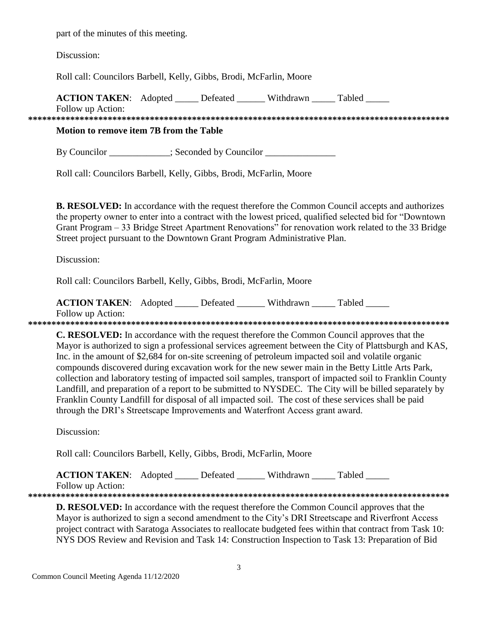part of the minutes of this meeting.

Discussion:

Roll call: Councilors Barbell, Kelly, Gibbs, Brodi, McFarlin, Moore

| <b>ACTION TAKEN:</b> Adopted            |  | Defeated | Withdrawn | Tabled |  |  |  |  |  |
|-----------------------------------------|--|----------|-----------|--------|--|--|--|--|--|
| Follow up Action:                       |  |          |           |        |  |  |  |  |  |
|                                         |  |          |           |        |  |  |  |  |  |
| Motion to remove item 7B from the Table |  |          |           |        |  |  |  |  |  |

By Councilor \_\_\_\_\_\_\_\_\_\_\_\_; Seconded by Councilor

Roll call: Councilors Barbell, Kelly, Gibbs, Brodi, McFarlin, Moore

**B. RESOLVED:** In accordance with the request therefore the Common Council accepts and authorizes the property owner to enter into a contract with the lowest priced, qualified selected bid for "Downtown" Grant Program – 33 Bridge Street Apartment Renovations" for renovation work related to the 33 Bridge Street project pursuant to the Downtown Grant Program Administrative Plan.

Discussion:

Roll call: Councilors Barbell, Kelly, Gibbs, Brodi, McFarlin, Moore

| <b>ACTION TAKEN:</b> Adopted | Defeated | Withdrawn | Tabled |  |
|------------------------------|----------|-----------|--------|--|
| Follow up Action:            |          |           |        |  |
|                              |          |           |        |  |

**C. RESOLVED:** In accordance with the request therefore the Common Council approves that the Mayor is authorized to sign a professional services agreement between the City of Plattsburgh and KAS, Inc. in the amount of \$2,684 for on-site screening of petroleum impacted soil and volatile organic compounds discovered during excavation work for the new sewer main in the Betty Little Arts Park, collection and laboratory testing of impacted soil samples, transport of impacted soil to Franklin County Landfill, and preparation of a report to be submitted to NYSDEC. The City will be billed separately by Franklin County Landfill for disposal of all impacted soil. The cost of these services shall be paid through the DRI's Streetscape Improvements and Waterfront Access grant award.

Discussion:

Roll call: Councilors Barbell, Kelly, Gibbs, Brodi, McFarlin, Moore

**ACTION TAKEN:** Adopted \_\_\_\_\_ Defeated \_\_\_\_\_\_ Withdrawn \_\_\_\_\_ Tabled \_\_\_\_\_ Follow up Action:

**D. RESOLVED:** In accordance with the request therefore the Common Council approves that the Mayor is authorized to sign a second amendment to the City's DRI Streetscape and Riverfront Access project contract with Saratoga Associates to reallocate budgeted fees within that contract from Task 10: NYS DOS Review and Revision and Task 14: Construction Inspection to Task 13: Preparation of Bid